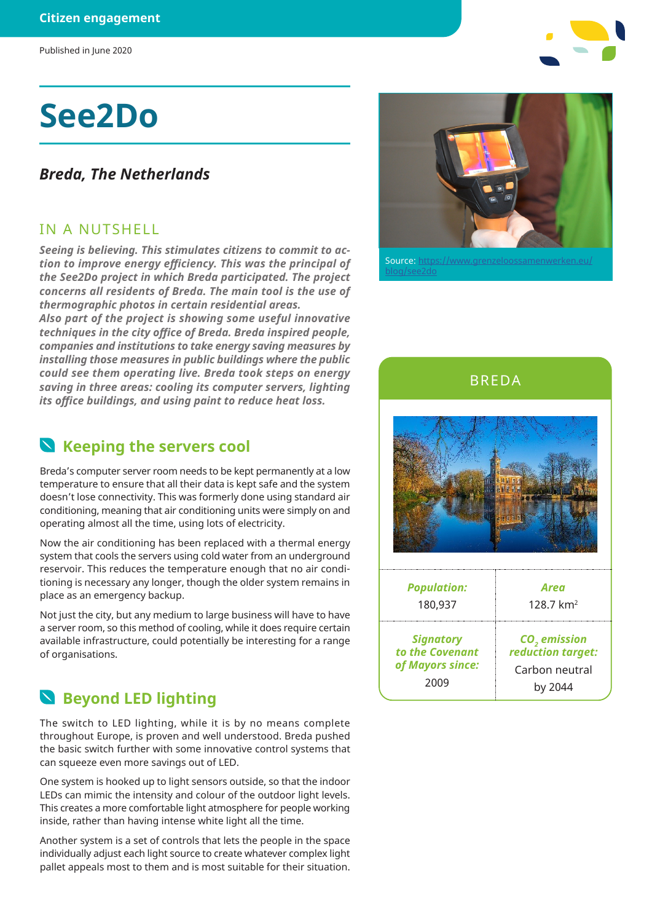Published in June 2020

# **See2Do**

#### *Breda, The Netherlands*

#### IN A NUTSHELL

*Seeing is believing. This stimulates citizens to commit to action to improve energy efficiency. This was the principal of the See2Do project in which Breda participated. The project concerns all residents of Breda. The main tool is the use of thermographic photos in certain residential areas.*

*Also part of the project is showing some useful innovative techniques in the city office of Breda. Breda inspired people, companies and institutions to take energy saving measures by installing those measures in public buildings where the public could see them operating live. Breda took steps on energy saving in three areas: cooling its computer servers, lighting its office buildings, and using paint to reduce heat loss.*

#### **N** Keeping the servers cool

Breda's computer server room needs to be kept permanently at a low temperature to ensure that all their data is kept safe and the system doesn't lose connectivity. This was formerly done using standard air conditioning, meaning that air conditioning units were simply on and operating almost all the time, using lots of electricity.

Now the air conditioning has been replaced with a thermal energy system that cools the servers using cold water from an underground reservoir. This reduces the temperature enough that no air conditioning is necessary any longer, though the older system remains in place as an emergency backup.

Not just the city, but any medium to large business will have to have a server room, so this method of cooling, while it does require certain available infrastructure, could potentially be interesting for a range of organisations.

### **Beyond LED lighting**

The switch to LED lighting, while it is by no means complete throughout Europe, is proven and well understood. Breda pushed the basic switch further with some innovative control systems that can squeeze even more savings out of LED.

One system is hooked up to light sensors outside, so that the indoor LEDs can mimic the intensity and colour of the outdoor light levels. This creates a more comfortable light atmosphere for people working inside, rather than having intense white light all the time.

Another system is a set of controls that lets the people in the space individually adjust each light source to create whatever complex light pallet appeals most to them and is most suitable for their situation.



Source: https://www.grenzelooss blog/see2do



BREDA

| <b>Population:</b> | Area                     |
|--------------------|--------------------------|
| 180,937            | 128.7 $km^2$             |
| <b>Signatory</b>   | CO <sub>2</sub> emission |
| to the Covenant    | reduction target:        |
| of Mayors since:   | Carbon neutral           |
| 2009               | by 2044                  |